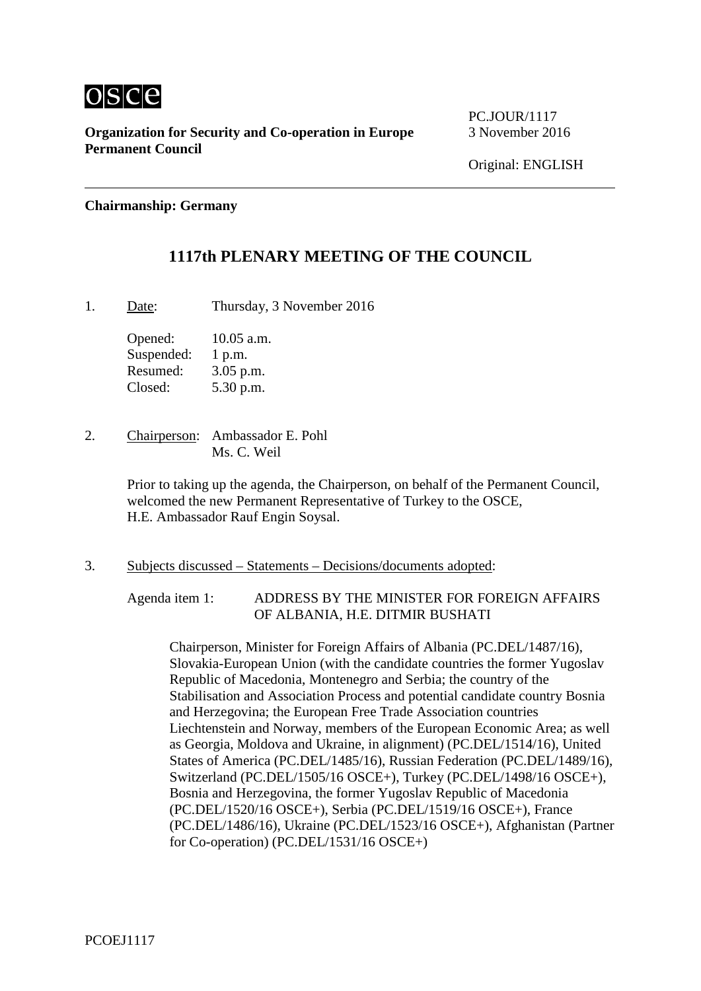

**Organization for Security and Co-operation in Europe** 3 November 2016 **Permanent Council**

PC.JOUR/1117

### **Chairmanship: Germany**

### **1117th PLENARY MEETING OF THE COUNCIL**

1. Date: Thursday, 3 November 2016

Opened: 10.05 a.m. Suspended: 1 p.m. Resumed: 3.05 p.m. Closed: 5.30 p.m.

2. Chairperson: Ambassador E. Pohl Ms. C. Weil

> Prior to taking up the agenda, the Chairperson, on behalf of the Permanent Council, welcomed the new Permanent Representative of Turkey to the OSCE, H.E. Ambassador Rauf Engin Soysal.

3. Subjects discussed – Statements – Decisions/documents adopted:

Agenda item 1: ADDRESS BY THE MINISTER FOR FOREIGN AFFAIRS OF ALBANIA, H.E. DITMIR BUSHATI

Chairperson, Minister for Foreign Affairs of Albania (PC.DEL/1487/16), Slovakia-European Union (with the candidate countries the former Yugoslav Republic of Macedonia, Montenegro and Serbia; the country of the Stabilisation and Association Process and potential candidate country Bosnia and Herzegovina; the European Free Trade Association countries Liechtenstein and Norway, members of the European Economic Area; as well as Georgia, Moldova and Ukraine, in alignment) (PC.DEL/1514/16), United States of America (PC.DEL/1485/16), Russian Federation (PC.DEL/1489/16), Switzerland (PC.DEL/1505/16 OSCE+), Turkey (PC.DEL/1498/16 OSCE+), Bosnia and Herzegovina, the former Yugoslav Republic of Macedonia (PC.DEL/1520/16 OSCE+), Serbia (PC.DEL/1519/16 OSCE+), France (PC.DEL/1486/16), Ukraine (PC.DEL/1523/16 OSCE+), Afghanistan (Partner for Co-operation) (PC.DEL/1531/16 OSCE+)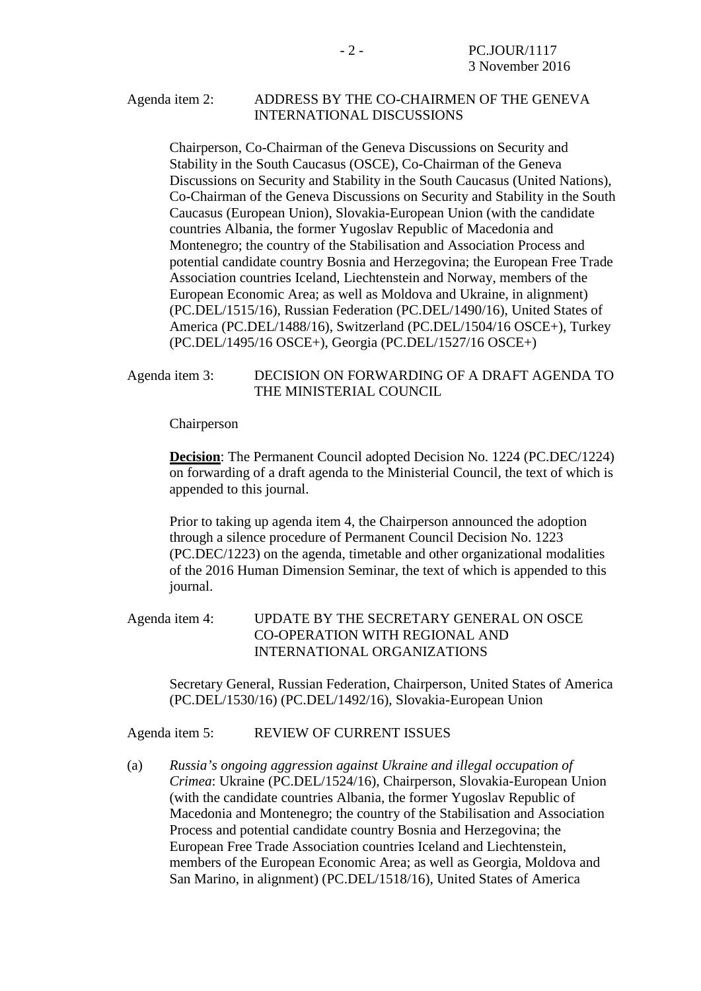### Agenda item 2: ADDRESS BY THE CO-CHAIRMEN OF THE GENEVA INTERNATIONAL DISCUSSIONS

Chairperson, Co-Chairman of the Geneva Discussions on Security and Stability in the South Caucasus (OSCE), Co-Chairman of the Geneva Discussions on Security and Stability in the South Caucasus (United Nations), Co-Chairman of the Geneva Discussions on Security and Stability in the South Caucasus (European Union), Slovakia-European Union (with the candidate countries Albania, the former Yugoslav Republic of Macedonia and Montenegro; the country of the Stabilisation and Association Process and potential candidate country Bosnia and Herzegovina; the European Free Trade Association countries Iceland, Liechtenstein and Norway, members of the European Economic Area; as well as Moldova and Ukraine, in alignment) (PC.DEL/1515/16), Russian Federation (PC.DEL/1490/16), United States of America (PC.DEL/1488/16), Switzerland (PC.DEL/1504/16 OSCE+), Turkey (PC.DEL/1495/16 OSCE+), Georgia (PC.DEL/1527/16 OSCE+)

#### Agenda item 3: DECISION ON FORWARDING OF A DRAFT AGENDA TO THE MINISTERIAL COUNCIL

Chairperson

**Decision**: The Permanent Council adopted Decision No. 1224 (PC.DEC/1224) on forwarding of a draft agenda to the Ministerial Council, the text of which is appended to this journal.

Prior to taking up agenda item 4, the Chairperson announced the adoption through a silence procedure of Permanent Council Decision No. 1223 (PC.DEC/1223) on the agenda, timetable and other organizational modalities of the 2016 Human Dimension Seminar, the text of which is appended to this journal.

### Agenda item 4: UPDATE BY THE SECRETARY GENERAL ON OSCE CO-OPERATION WITH REGIONAL AND INTERNATIONAL ORGANIZATIONS

Secretary General, Russian Federation, Chairperson, United States of America (PC.DEL/1530/16) (PC.DEL/1492/16), Slovakia-European Union

### Agenda item 5: REVIEW OF CURRENT ISSUES

(a) *Russia's ongoing aggression against Ukraine and illegal occupation of Crimea*: Ukraine (PC.DEL/1524/16), Chairperson, Slovakia-European Union (with the candidate countries Albania, the former Yugoslav Republic of Macedonia and Montenegro; the country of the Stabilisation and Association Process and potential candidate country Bosnia and Herzegovina; the European Free Trade Association countries Iceland and Liechtenstein, members of the European Economic Area; as well as Georgia, Moldova and San Marino, in alignment) (PC.DEL/1518/16), United States of America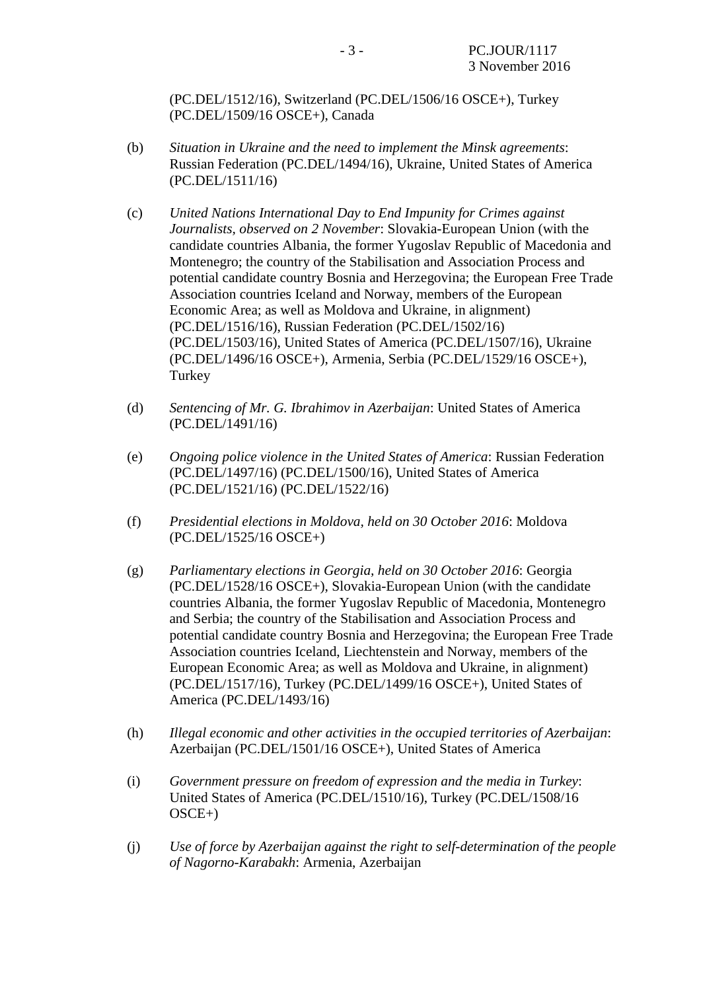(PC.DEL/1512/16), Switzerland (PC.DEL/1506/16 OSCE+), Turkey (PC.DEL/1509/16 OSCE+), Canada

- (b) *Situation in Ukraine and the need to implement the Minsk agreements*: Russian Federation (PC.DEL/1494/16), Ukraine, United States of America (PC.DEL/1511/16)
- (c) *United Nations International Day to End Impunity for Crimes against Journalists, observed on 2 November*: Slovakia-European Union (with the candidate countries Albania, the former Yugoslav Republic of Macedonia and Montenegro; the country of the Stabilisation and Association Process and potential candidate country Bosnia and Herzegovina; the European Free Trade Association countries Iceland and Norway, members of the European Economic Area; as well as Moldova and Ukraine, in alignment) (PC.DEL/1516/16), Russian Federation (PC.DEL/1502/16) (PC.DEL/1503/16), United States of America (PC.DEL/1507/16), Ukraine (PC.DEL/1496/16 OSCE+), Armenia, Serbia (PC.DEL/1529/16 OSCE+), Turkey
- (d) *Sentencing of Mr. G. Ibrahimov in Azerbaijan*: United States of America (PC.DEL/1491/16)
- (e) *Ongoing police violence in the United States of America*: Russian Federation (PC.DEL/1497/16) (PC.DEL/1500/16), United States of America (PC.DEL/1521/16) (PC.DEL/1522/16)
- (f) *Presidential elections in Moldova, held on 30 October 2016*: Moldova (PC.DEL/1525/16 OSCE+)
- (g) *Parliamentary elections in Georgia, held on 30 October 2016*: Georgia (PC.DEL/1528/16 OSCE+), Slovakia-European Union (with the candidate countries Albania, the former Yugoslav Republic of Macedonia, Montenegro and Serbia; the country of the Stabilisation and Association Process and potential candidate country Bosnia and Herzegovina; the European Free Trade Association countries Iceland, Liechtenstein and Norway, members of the European Economic Area; as well as Moldova and Ukraine, in alignment) (PC.DEL/1517/16), Turkey (PC.DEL/1499/16 OSCE+), United States of America (PC.DEL/1493/16)
- (h) *Illegal economic and other activities in the occupied territories of Azerbaijan*: Azerbaijan (PC.DEL/1501/16 OSCE+), United States of America
- (i) *Government pressure on freedom of expression and the media in Turkey*: United States of America (PC.DEL/1510/16), Turkey (PC.DEL/1508/16 OSCE+)
- (j) *Use of force by Azerbaijan against the right to self-determination of the people of Nagorno-Karabakh*: Armenia, Azerbaijan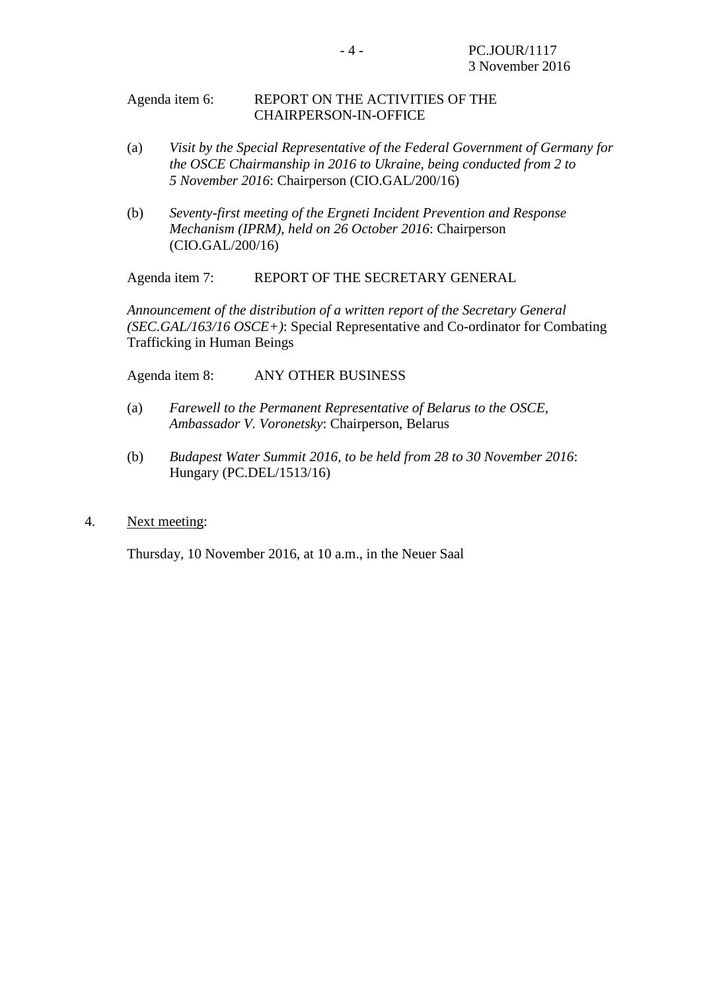#### Agenda item 6: REPORT ON THE ACTIVITIES OF THE CHAIRPERSON-IN-OFFICE

- (a) *Visit by the Special Representative of the Federal Government of Germany for the OSCE Chairmanship in 2016 to Ukraine, being conducted from 2 to 5 November 2016*: Chairperson (CIO.GAL/200/16)
- (b) *Seventy-first meeting of the Ergneti Incident Prevention and Response Mechanism (IPRM), held on 26 October 2016*: Chairperson (CIO.GAL/200/16)

Agenda item 7: REPORT OF THE SECRETARY GENERAL

*Announcement of the distribution of a written report of the Secretary General (SEC.GAL/163/16 OSCE+)*: Special Representative and Co-ordinator for Combating Trafficking in Human Beings

Agenda item 8: ANY OTHER BUSINESS

- (a) *Farewell to the Permanent Representative of Belarus to the OSCE, Ambassador V. Voronetsky*: Chairperson, Belarus
- (b) *Budapest Water Summit 2016, to be held from 28 to 30 November 2016*: Hungary (PC.DEL/1513/16)
- 4. Next meeting:

Thursday, 10 November 2016, at 10 a.m., in the Neuer Saal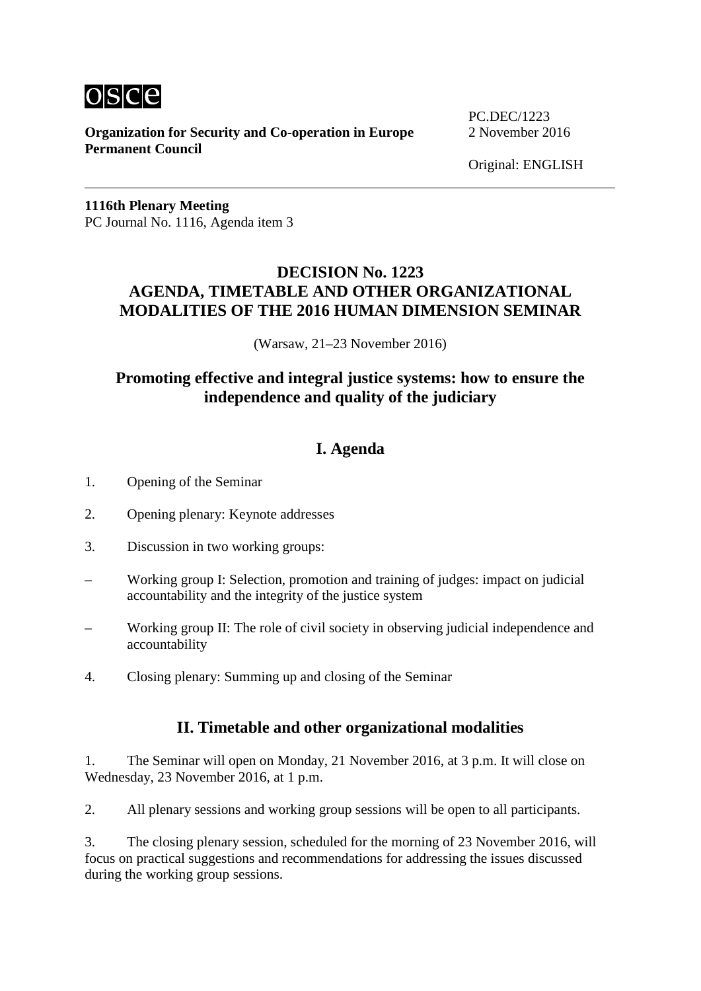

**Organization for Security and Co-operation in Europe** 2 November 2016 **Permanent Council**

PC.DEC/1223

Original: ENGLISH

**1116th Plenary Meeting** PC Journal No. 1116, Agenda item 3

## **DECISION No. 1223 AGENDA, TIMETABLE AND OTHER ORGANIZATIONAL MODALITIES OF THE 2016 HUMAN DIMENSION SEMINAR**

(Warsaw, 21–23 November 2016)

# **Promoting effective and integral justice systems: how to ensure the independence and quality of the judiciary**

# **I. Agenda**

- 1. Opening of the Seminar
- 2. Opening plenary: Keynote addresses
- 3. Discussion in two working groups:
- Working group I: Selection, promotion and training of judges: impact on judicial accountability and the integrity of the justice system
- Working group II: The role of civil society in observing judicial independence and accountability
- 4. Closing plenary: Summing up and closing of the Seminar

## **II. Timetable and other organizational modalities**

1. The Seminar will open on Monday, 21 November 2016, at 3 p.m. It will close on Wednesday, 23 November 2016, at 1 p.m.

2. All plenary sessions and working group sessions will be open to all participants.

3. The closing plenary session, scheduled for the morning of 23 November 2016, will focus on practical suggestions and recommendations for addressing the issues discussed during the working group sessions.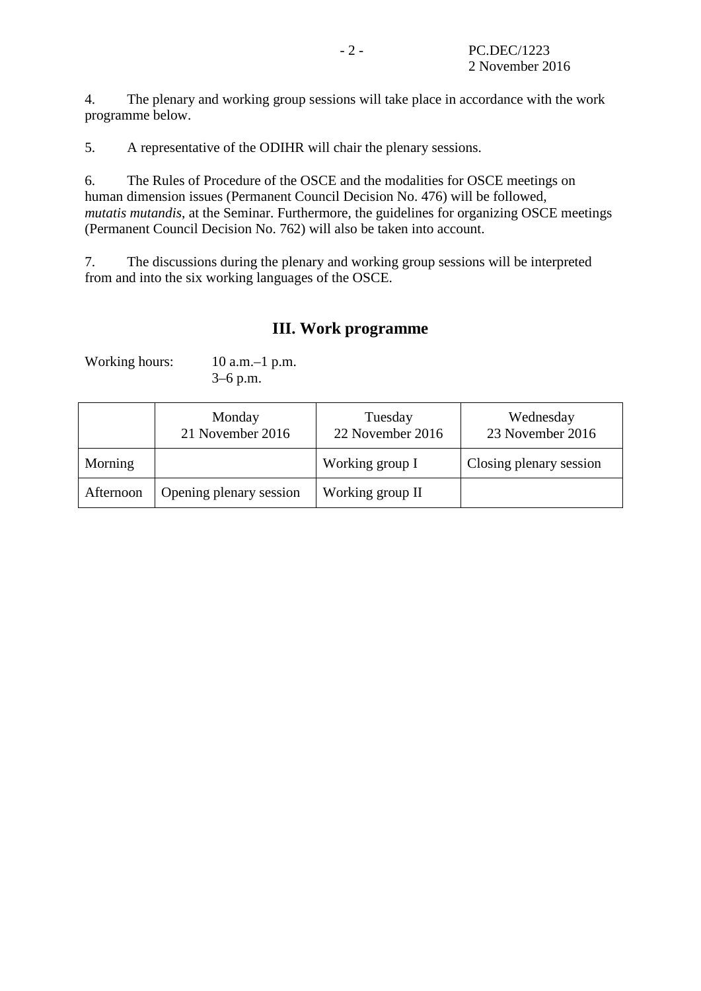4. The plenary and working group sessions will take place in accordance with the work programme below.

5. A representative of the ODIHR will chair the plenary sessions.

6. The Rules of Procedure of the OSCE and the modalities for OSCE meetings on human dimension issues (Permanent Council Decision No. 476) will be followed, *mutatis mutandis*, at the Seminar. Furthermore, the guidelines for organizing OSCE meetings (Permanent Council Decision No. 762) will also be taken into account.

7. The discussions during the plenary and working group sessions will be interpreted from and into the six working languages of the OSCE.

### **III. Work programme**

Working hours: 10 a.m.–1 p.m. 3–6 p.m.

|           | Monday<br>21 November 2016 | Tuesday<br>22 November 2016 | Wednesday<br>23 November 2016 |
|-----------|----------------------------|-----------------------------|-------------------------------|
| Morning   |                            | Working group I             | Closing plenary session       |
| Afternoon | Opening plenary session    | Working group II            |                               |